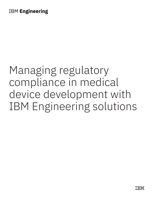# Managing regulatory compliance in medical device development with IBM Engineering solutions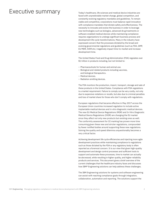## Executive summary

Today's healthcare, life sciences and medical device industries are faced with unpredictable market change, global competition, and constantly evolving regulatory mandates and guidelines. To remain viable and competitive, corporations must balance rapid innovation with compliance mandates that dictate safety and effectiveness. The necessity to innovate and evolve the business in order to leverage new technologies such as biologics, advanced drug treatments or software-enabled medical devices while maintaining compliance requires organizations to undergo significant business process and development life cycle transformations. Many in the industry have expressed concern that the processes dictated by the broad and evolving governmental regulations and guidelines (such as FDA, GMP, EU MDR, IVDR etc.) negatively impact time-to-market and increase development time.

The United States Food and Drug Administration (FDA) regulates over \$1 trillion in products including, but not limited to:

- Pharmaceuticals for human and animal use.
- Biological and related products including vaccines, and biological therapeutics.
- Medical devices.
- Radiation emitting devices.

The FDA monitors the production, import, transport, storage and sale of these products in the United States. Compliance with FDA regulations is a market requirement. Failure to comply can be very costly, not only due to expensive violations or recalls, but also due to criminal penalties and loss of market share for those who don't comply with regulations.

European regulations that became effective in May 2017 across the European Union countries increased regulation to include active implantable medical devices and in vitro diagnostic medical devices. The new EU Medical Device Regulations (MDR) and In Vitro Diagnostic Medical Device Regulations (IVDR) are changing the EU market since they affect not only new products but existing ones as well. The conformity assessment for CE marking has proven more time consuming given these new and stricter regulations, compounded by fewer notified bodies around supporting these new regulations. Solving the quality and speed dilemma unquestionably becomes a very critical factor.

Achieving development life cycle efficiencies and injecting more agile development practices while maintaining compliance to regulations such as those dictated by the FDA or any regulatory body is often reported as a foremost concern. It is our view that given high-quality development and design control processes and sufficient tools to support and automate these processes, time to market can actually be *decreased*, while resulting in higher quality, and higher reliability products and services. This document gives a brief overview of the current challenges that the healthcare industry faces and discusses how IBM® Engineering solutions can help address these challenges.

The IBM Engineering solutions for systems and software engineering can assist with reaching compliance goals through integration, collaboration, automation and reporting. The solutions support the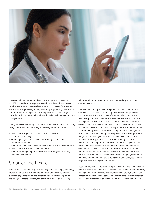

creation and management of life-cycle work products necessary to fulfill FDA and / or EU regulations and guidelines. The solutions provide a core set of best-in-class tools and processes for systems and software engineering teams, facilitating engineering collaboration with unprecedented high level of transparency of project progress, control of artifacts, traceability with audit trails, task management and change control.

Lastly, the IBM Engineering solutions address the FDA identified *lack of design controls as one of the major causes of device recalls* by:

- Maintaining design control specifications in a central, automated repository
- Providing design control specifications using customizable document templates
- Facilitating the design control process models, attributes and reports
- Maintaining up-to-date traceability matrices
- Facilitating change impact analysis and capturing design history
- Managing compliance

#### Smarter healthcare

Today's healthcare field is quickly evolving and increasingly becoming more networked and interconnected. Whether you are developing a cutting-edge medical device, researching new drug therapies or providing healthcare services, the common thread is an increasing

reliance on interconnected information, networks, products, and complex systems.

To meet innovation goals and bring new products to market faster, companies must focus on optimizing the development processes supporting and automating these efforts. As today's healthcare providers, payers and consumers move towards electronic records management and smarter healthcare, this will mean that medical devices used to implement our care must not only communicate data to doctors, nurses and clinicians but may also transmit data for more accurate billing and more comprehensive patient data management. Medical devices are becoming more sophisticated and complex with the greater ability to give real-time statistics to clinicians in order to make better diagnosis and care decisions. Many devices today record and transmit patient and device data back to physicians and device manufacturers to aid in patient care, and to help influence development of new products and features in order to repurpose or modernize existing product lines. Devices are becoming more and more customized and offer variances that meet hospital, emergency response and field needs. Data is being continually analyzed to make diagnosis early and to predict outcomes.

Healthcare reform will potentially impel tens of millions of citizens who do not currently have healthcare insurance into the healthcare network, driving demand for access to treatments such as drugs, biologics and increasing medical device usage. The push towards electronic medical records and mandates such as the Health Insurance Portability and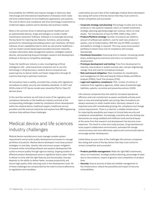Accountability Act (HIPAA) and massive changes in electronic data interchange and International Classification of Diseases (ICD) codes will drive modernization of core healthcare applications and systems. The cost of reform and compliance will drive technology investments to modernize legacy systems and to develop new business models.

What is the common driver to delivering smarter healthcare such as sophisticated devices, drugs and biologics or modern health maintenance networks? Software. Software is increasingly becoming the key factor for injecting new features, functions, and providing protocols for networking and building system user interfaces. All these software-driven capabilities lead to what we call smarter healthcare such as modern portal-based payer/provider/consumer networks, complex information data management systems, intelligent medical devices, and pioneering drug and biologics research and development. Software is the key to competitive advantage.

Today the healthcare industry is also investigating artificial intelligence (AI) - pharmaceutical companies aim to use this technology in drug discovery, medical device companies are exploring how to deliver better and faster diagnostics through AI machine learning to optimize treatment.

All innovations have a validity, provided they comply with regulations and adhere to safety, security and reliability standards. In 2017 and 2018 a total of 137 device recalls were issued by FDA for Class III devices alone.

In the next few sections we will look at some of the regulatory and compliance demands on the healthcare industry and look at the corresponding challenges created by compliance driven development within the medical device, healthcare payers, healthcare service providers and life sciences industries and explore how IBM Engineering solutions help address these challenges.

## Medical device and life sciences industry challenges

Medical device manufacturers must manage complex system requirements and provide quality development processes to manage portfolios of products. Medical device developers must base product strategies on real data, classify risks and ensure proper mitigation of hazards while controlling software and systems development life cycles to ensure quality through rigorous testing. Ongoing studies of effective product development point to significant failure rates—failure to deliver on time with the right features and functionality. Success depends on the ability to deliver faster, increase productivity and ensure high quality while reducing costs in the development cycle. All of these challenges are compounded by the need to ensure adherence to regulations and mandates.

Listed below are just a few of the challenges medical device developers face along with some of the key factors that they must control to remain competitive and successful:

- **Corporate strategy and planning:** Percentage of sales due to new products or new systems released, return on market investment, strategic planning operating budget per revenue, return on total assets. The introduction of new EU MDR, IVDR in May, 2017.
- **Product/Platform strategy:** Number of products per platform, amount of software per platform, cost for each new product or system, cost of modernization. With the new EU MDR, a product and platform strategy is required. This may cause some product portfolios to divest since cost of compliance will increase dramatically.
- **Functional innovation:** Improving time to market, increasing market share, achieving price premiums and return on investment for development.
- **Prototype development and testing:** Time from development to maturity, new product or system success rate, cost per engineering change, time and cost for conceptual mockups.
- **Risk and hazard mitigation:** Meet mandates for classification and management of risks and hazards (Failure Modes and Effects Analysis [FMEA], Fault Tree Analysis [FTA]).
- **Legal and regulatory compliance:** FDA, number of notices of violations from regulatory agencies, dollar value of potential legal liabilities, patents, corrective and preventive actions (CAPA)

Life sciences companies face the need for increased operational efficiency and cost containment as payers worldwide actively pushback on new and existing health care pricing. New innovations are always necessary to retain market share: discovery research is an important area with considerably growing risk, compliance and change control requirements. There is a need for a reliable infrastructure for reducing the possibility and impact of clinical data security and compliance vulnerabilities. Increasingly, scientists who are testing new discoveries are using outdated and inefficient tools and techniques at the same time that research and development has become more expensive. The result is a slow and costly process. Drug manufactures must support collaborative environments, automate the change control process and more effectively capture and communicate data to encourage quicker development.

Listed below are just a few of the challenges life sciences companies face along with some of the key factors that they must control to remain competitive and successful:

- **Product portfolio management:** Make the right R&D investments, return on investment, strategic product planning, percentage of sales due to new products, impact of generics and competition on product lines.
- **Security:** Ensure security of data and reliable management of the infrastructure; reduce the possibility and impact of security vulnerabilities.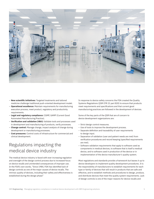

- **New scientific initiatives:** Targeted treatments and tailored medicine challenge traditional push-oriented development model.
- **Operational excellence:** Maintain requirements for manufacturing execution process, meet product, regulatory and productivity requirements.
- **Legal and regulatory compliance:** CGMP, GAMP (Current Good Automated Manufacturing Practice).
- **Verification and validation (V&V):** Validate tools and processes used in development and manufacturing of products, verify processes.
- **Change control:** Manage change, impact analysis of change during development or manufacturing processes.
- **Cost pressures:** Control costs of infrastructure for commercial and clinical development.

## Regulations impacting the medical device industry

The medical device industry is faced with ever increasing regulation and oversight of the design control process due to increased focus on device recalls and unintended consequences of improper use. In the FDA's own words, "Since 1984, FDA has identified lack of design controls as one of the major causes of device recalls. The intrinsic quality of devices, including their safety and effectiveness is established during the design phase"

In response to device safety concerns the FDA created the Quality Systems Regulations (QSR CFR 21 part 820) to ensure that products meet requirements and specifications and that current good manufacturing practices are followed in the development of devices.

Some of the key parts of the QSR that are of concern to device development organizations are:

- Strict design control measures.
- Use of tools to improve the development process.
- Separate definition and traceability of user requirements to design input.
- Separation of validation (user and patient needs are met) from verification procedures and record keeping (specified requirements are met).
- Software validation requirements that apply to software used as components in medical devices, to software that is itself a medical device, and to software used in production of the device or in implementation of the device manufacturer's quality system.

Most regulations and standards provide a framework but leaves it up to device developers to implement quality development procedures. It is the responsibility of manufacturers to establish requirements for each type or family of devices that will result in products that are safe and effective, and to establish methods and procedures to design, produce, and distribute devices that meet the quality system requirements. Lack of design controls is one of the major reasons for device recalls and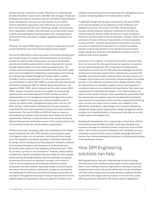violation notices resulting from audits. Adherence to a development process that defines requirements, identifies risk, manages change and facilitates and supports simulation and test well before implementation lowers development risk and costs and reduces time to market. Product expenditure skyrockets when deficiencies are discovered late in the development life cycle. Following a design control process that is repeatable, scalable, and automated can provide better project visibility and predictability, lowering overall costs, reducing product development time, and helps to navigate regulatory acceptance into the market.

Moreover, the new EU MDR requires an enterprise-wide approach with a mutli-disciplinary and cross-functional governance program.

The new EU MDR affects certain key areas in the product development and manufacturing. For instance, the manufacturers are required to monitor the safety profile of the product, not only involving safety, security and reliability assessment in product development, but also through implementation of a post-market surveillance plan. The controls around transparency and traceability within the whole supply chain will be strengthened. Establishing, implementing, documenting and maintaining a Quality Management System (QMS) is another mandate to device manufacturers. It is not yet a requirement but a recommendation to follow ISO 13485 as an internationally harmonized standard for designing a QMS for medical device development. The regulation (MDR, IVDR), when compared with the older version (MDD, IVDD), requires increased controls over supplier and outsourcing activities and a risk-based approach to QMS activities as well as implementation of risk management process throughout the product lifecycle. In addition to having a post-market surveillance plan to monitor the safety profile, strengthened supply chain controls, and QMS overhaul, medical device manufacturers are also required to understand the new clinical evaluation process and clinical evidence requirements. The new EU MDR and IVDR will have an impact on the development process of new products due to these new clinical requirements. Moreover, current products on the market will also be affected. Because the certification process of the current products will not be exempt by the new clinical evidence requirements.

All these facts aside, developers often view compliance to the design control standards from FDA, QMS activities, documentation needs, risk mitigation plans, etc. as overhead, interfering with their design work. The regulatory and quality populace is ultimately responsible for design control compliance, but they depend on hardware, software and mechanical designers and developers to do the actual work. Developers often respond to the regulatory professionals with "What do you want, a product or documentation?" However, medical device manufactures require confirmation that user needs are met by design inputs and that the design elements that are essential to the proper functioning of the device are identified, recorded, and tracked, in order to survive inspections and bring safe products to market. Companies must also establish reasonable design control processes and ensure that risk analysis is performed, changes to requirements and development artifacts are controlled and design history files are maintained. Management and proper tracing of requirements from the original design and development phase through the verification and

validation phase along with an accompanying risk management plan is crucial to remaining viable in the medical device market.

A significant change that has been introduced by the new EU MDR is the clinical evaluation as an application of the Verification and Validation processes. The scope of the QMS, mentioned above, includes clinical evaluation and post-marketing clinical follow up. Clinical Evaluation Reports (CER) will also be a critical compliance element as the deliverable of clinical evaluation. However, there is still some lack of clarity in the exact requirements of clinical evaluation process and CER – and their best practices. It becomes much more crucial for a medical device manufacturer to provide traceability between product requirements at the intended use environment, original design and verification and validation procedures both for analytical and clinical validation.

Automation of the capture, recording and traceability between these items not only cuts the time spent focused on regulatory compliance but can speed development time. It will help the medical device manufacturers to deal with the difficulties and challenges introduced via the clinical evaluation requirements. Adherence to a process that identifies requirements before implementation and then controls and manages requirements and requirement change throughout the design process is more efficient and requires fewer design iterations. When the requirements are identified, progress metrics and projection of completion dates are more objective and quantitative. Even when new requirements are identified mid-design or mid-implementation, the impact on the overall schedule is more quantitatively predictable when the requirements are properly captured and dependencies between requirements are maintained. Clients are often skeptical that following such a process can reduce time to market, but in addition to the efficiencies noted above, a good design control process followed by change and design reviews supported by change management allows problems to be identified earlier in the process while they are smaller, simpler, faster, and cheaper to fix.

Speeding the development time, is becoming a critical factor with the introduction of new EU MDR and IVDR. These new standards have exposed a shortage of certification bodies (could be as much as 50%) which will introduce a serious bottleneck in the certification process. Companies trying to achieve a time to market advantage will need to improve their internal development processes to offset potential delays in the certification process.

## How IBM Engineering solutions can help

IBM Engineering can help with implementing an effective design control process and a standard quality system process supported by best-in-class tooling to allow an organization to develop a corporate standard process which will provide efficiencies of scale. Developers can know what to expect and can easily develop compliant solutions incorporated with design control processes in line with FDA, satisfy QMS requirements imposed by FDA Quality Systems Regulations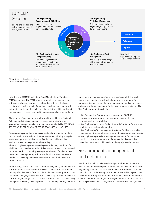

**Figure 1:** IBM Engineering solution to help manage regulatory compliance

or by the new EU MDR and satisfy Good Manufacturing Practice (GMP) guidelines. The IBM Engineering solutions for systems and software engineering supports collaborative tasks and linking of the life-cycle work products. Compliance can be made simpler with automated capture of design history, life cycle traceability and quality management processes required to manage compliance to regulations.

The solution offers, integrated, end-to-end traceability and fault and failure analysis that can improve processes, automate document generation, manage compliance to regulatory standards like IEC 62304, IEC 61508, 21 CFR 820.30, 21 CFR 11, ISO 13485 and ISO 14971.

Demonstrating compliance means control and documentation of the typical development tasks such as requirements gathering, analysis, system design, detailed design, verification and validation, risk analysis, project management and reporting.

The IBM Engineering software and systems delivery solutions offer visibility, control and automation. It is an open, proven, complete and modular solution comprising a comprehensive set of tools and best practices. IBM Engineering solutions offer all the tools that teams need to successfully define requirements, model, build, test, and deploy products.

Without integrations across the systems delivery life cycle, systems and software teams are left to operate in silos. When silos form, product delivery effectiveness suffers. In order to deliver smarter products that respond to changing market needs, it is necessary to allow systems and software engineering teams to perform efficiently and to collaboratively manage all the life-cycle work products. The IBM Engineering solutions for systems and software engineering provide complete life-cycle management—an integrated and collaborative environment for requirements analysis; architecture management; and work, change and configuration management for teams of systems engineers. The IBM Engineering solutions include:

- IBM Engineering Requirements Management DOORS® software for requirements management, traceability, and impact analysis capabilities
- IBM Engineering Systems Design Rhapsody® software for systems architecture, design and modeling
- IBM Engineering Test Management software for life cycle quality management from requirements, to build, to test cases and defects
- IBM Engineering Workflow Management software for integrated version control, automated work flows, and build capabilities enabling real-time visibility and complete project collaboration.

#### Requirements management and definition

Solutions that help to define and manage requirements to reduce rework, demonstrate compliance, and minimize costs and risks. IBM Engineering solutions can help address concerns related to product innovation such as improving time to market and achieving return on investments. Through requirements traceability, development teams can trace requirements to (and from) system requirements to test and risk analysis results facilitating more accurate business analysis and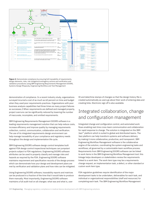

**Figure 2:** Demonstrate compliance by ensuring full traceability of requirements, design elements, risks, risk mitigation/contingency actions and verification and validation procedures using IBM Engineering Requirements Management DOORS, Systems Design Rhapsody, Engineering Workflow and Test Management

demonstration of compliance. In a recent industry study, organizations surveyed incurred a cost of as much as 60 percent on time and budget when they used poor requirements practices. Organizations with poor business analysis capabilities had three times as many project failures as successes.2 When requirements are defined and managed properly, project overruns can be significantly reduced by lowering the number of inaccurate, incomplete, and omitted requirements.

IBM Engineering Requirements Management DOORS software is a leading requirements management solution that can help reduce costs, increase efficiency and improve quality by managing requirements collection, control, communication, collaboration and verification. The use of its integrated requirements design environment can help manage traceability of your compliance and regulatory needs throughout the design and implementation life cycle.

IBM Engineering DOORS software design control templates built against FDA design control inspectional techniques can jumpstart projects subject to FDA regulations. Engineering DOORS software attributes can be used to properly classify and manage risks and hazards as required by the FDA. Engineering DOORS software maintains requirement and specification records of the design process which can demonstrate how your design and development plans are met by verification and validation plans and how risks can be mitigated.

Using Engineering DOORS software, traceability reports and matrices can be produced in a fraction of the time that it would take to produce them manually. Most importantly, Engineering DOORS software maintains a full audit trail on all changes: what was and what is, user

ID and date/time stamps of changes so that the design history file is created automatically as users go about their work of entering data and creating links. Electronic sign off is also available.

### Integrated collaboration, change and configuration management

Integrated change and configuration control, and automated work flows enabling real-time cross-team communication and collaboration for rapid response to change. The solution is integrated on the IBM Jazz™ platform which is suited to global and distributed teams. The Jazz platform can help transform systems and software delivery by making it more collaborative, productive, and transparent. IBM Engineering Workflow Management software is the collaborative engine of the solution, coordinating the system engineering tasks and workflows; all governed by a customizable team workflow process. Requirements from IBM Engineering DOORS software can be linked to work items in the IBM Engineering Workflow Management tool: this linkage helps developers or stakeholders review the requirements linked to a work item. The work item type may be a requirements change request, an implementation task, a defect, or other standard or custom work item type.

FDA regulation guidelines require identification of the major development tasks to be undertaken, deliverables for each task, and individual or organizational responsibilities (staff and resources) for completing each task. The IBM Engineering Workflow Management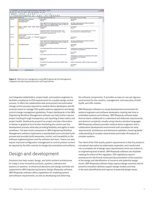| File Edit Vew Insert Link Analysis Table Tools Discussions User Help                                 |                                                                                                                                                                                  |                                                                                                                                                                                                   |                                                                                                                                                                                                                                                          |  |
|------------------------------------------------------------------------------------------------------|----------------------------------------------------------------------------------------------------------------------------------------------------------------------------------|---------------------------------------------------------------------------------------------------------------------------------------------------------------------------------------------------|----------------------------------------------------------------------------------------------------------------------------------------------------------------------------------------------------------------------------------------------------------|--|
| 日命里                                                                                                  | $\ $ m a m $\ $ $\ $ $\frac{9}{2}$ $\frac{13}{2}$ $\frac{14}{2}$ $\frac{1}{2}$ $\frac{1}{2}$ $\frac{1}{2}$ $\frac{1}{2}$ $\frac{1}{2}$ $\frac{1}{2}$ $\frac{1}{2}$ $\frac{1}{2}$ |                                                                                                                                                                                                   |                                                                                                                                                                                                                                                          |  |
| 3 7 < 图 7 ₽ 2 2<br>View 5. Verflication Traced from D M   Al levels M<br>$\mathcal{L}$ $\mathcal{L}$ |                                                                                                                                                                                  |                                                                                                                                                                                                   |                                                                                                                                                                                                                                                          |  |
|                                                                                                      | <b>Object Identifier   Verification Test</b>                                                                                                                                     | <sup>9</sup> Links to Verflication from Design Input                                                                                                                                              | Links to Design Input from User Needs                                                                                                                                                                                                                    |  |
| <b>Ver 19</b>                                                                                        | Alarms Sourced by Arrhythmia:<br>All Arrhythmia Alarms<br><b>Heart Rate Alarms</b>                                                                                               | Design Input<br><b>PM 825</b><br>Same algorithm but limited alarms and event storage Vfib,<br>Vtach, Vruns, PVCs, Asystole, Brady, Pacer, pro-pacer not<br>pacing or pacer not captured by heart. | <b>User Needs</b><br>PM 40<br>HR; basic single/dual lead arrhythmia (subset of<br>sophisticated arrhythmia)                                                                                                                                              |  |
| <b>Ver 20</b>                                                                                        | Factory Default Alarm Limits Alarm pesign Input<br>Indications                                                                                                                   | PM 826<br>Graphical and tabular trends, selected alarms and<br>arrhythmias stored. Events easily marked. Timing<br>appropriate for application area.                                              | User Needs<br><b>PM 45</b><br>To review cases by reviewing status, alarms, wave<br>forms and trends of multiple parameters.                                                                                                                              |  |
| Ver 21                                                                                               | Timing of Alarms Sourced by Arrhythmia<br><b>Sourced INOPs</b>                                                                                                                   |                                                                                                                                                                                                   |                                                                                                                                                                                                                                                          |  |
| <b>Ver 22</b>                                                                                        | Configuration of Basic vs Enhanced Design Input<br>Arrhythmia Alarms Off                                                                                                         | <b>PM_825</b><br>Same algorithm but limited alarms and event storage Vfib,<br>Vtach, Vruns, PVCs, Asystole, Brady, Pacer, pro-pacer not<br>pacing or pacer not captured by heart.                 | <b>User Needs</b><br><b>PM_40</b><br>HR; basic single/dual lead arrhythmia (subset of<br>sophisticated arrhythmia)                                                                                                                                       |  |
| <b>Ver 35</b>                                                                                        | All Arrythmia Alarms                                                                                                                                                             | Design Input<br>PM 828<br>Life threatening/arrhythmia alarms on instantaneously<br>Design Input<br>PM_841<br>Life threatening/arrhythmia alarms on instantaneously                                | <b>User Needs</b><br><b>PM 50</b><br>Instantaneous recognition of physiological data enables<br>immediate alarming capability<br><b>User Needs</b><br>PM_82<br>Instantaneous recognition of physiological data enables<br>immediate alarming capability. |  |
| <b>Ver 37</b>                                                                                        | <b>Factory Default Alarm Limits</b>                                                                                                                                              | Design Input<br><b>PM 829</b><br>Permit alarms to go below preset factory defaults (resp)<br>Design Input<br><b>PM 842</b>                                                                        | User Needs<br><b>PM 51</b><br>Detect event/change in patient condition by parameter<br><b>User Needs</b><br><b>PM 83</b>                                                                                                                                 |  |

**Figure 3:** Effective test management using IBM Engineering Test Management, integrates test planning and execution with requirements

tool integrates stakeholders, project leads, and systems engineers to facilitate compliance to FDA requirements for a quality design control process. It offers the collaborative task environment and automated change control process required by medical device developers and life sciences teams to manage FDA quality systems regulations and design control change management guidelines. Project dashboards in the IBM Engineering Workflow Management software can help further improve project tracking through transparency and reporting of team status and project health. Dashboards present live project and plan information in tabular or graphical form further facilitating the control over the development process while also providing flexibility and agility in team workflows. The team build component in IBM Engineering Workflow Management software implements a standardized and controlled build process and provides build awareness, control, and traceability to the software engineering team and the software test team. Teams can also expect improved configuration management to control product content as required by the FDA controls for design documentation and artifacts.

## Design and development

Solutions that help model, design, and build resilient architectures for today's most innovative products, systems, software and systems of systems. Architectural decisions and design activities are supported by IBM Engineering Systems Design Rhapsody software. IBM Rhapsody software offers capabilities for modeling system and software requirements, as well as developing and delivering

the software components. It provides an easy-to-use yet rigorous environment for the creation, management, and execution of both SysML and UML models.

IBM Rhapsody software is a visual development environment for systems engineers and software developers creating real-time or embedded systems and software. IBM Rhapsody software helps diverse teams collaborate to understand and elaborate requirements, and abstract complexity visually using industry standard languages. IBM Rhapsody software provides medical device engineers with a collaborative development environment with simulation for early requirements, architecture and behavioral validation, fostering better understanding of complex requirements and trade-off analysis of complex systems.

The intent of the FDA quality system requirements is that the product's conceptual description be elaborated, expanded, and transformed into a complete set of design input requirements which are written to an engineering level of detail. IBM Rhapsody software can facilitate meeting the intent of this regulation. FDA regulations require procedures for the formal review and documentation of the evolution of the design and identification of concerns and potential design issues. IBM Rhapsody software helps capture design evolution and its powerful simulation abilities support design reviews and help in the early identification and capture of potential design issues.